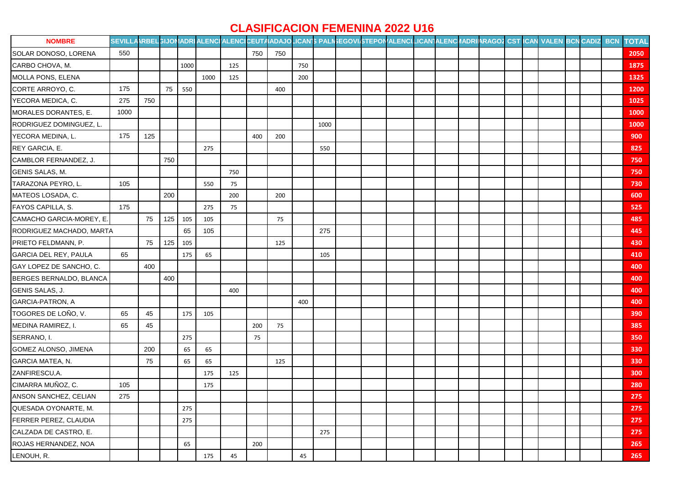## **CLASIFICACION FEMENINA 2022 U16**

| <b>NOMBRE</b>            | SEVILLAARBELGIJONADRIALENCIALENCICEUTAADAJOLICAN'S PALINEGOVI/STEPONALENCI/LICAN]ALENCIIADRIIARAGOZ CST ICAN VALEN BCN CADIZ BCN |     |     |      |      |     |     |     |     |      |  |  |  |  |  |  | <b>TOTAL</b> |
|--------------------------|----------------------------------------------------------------------------------------------------------------------------------|-----|-----|------|------|-----|-----|-----|-----|------|--|--|--|--|--|--|--------------|
| SOLAR DONOSO, LORENA     | 550                                                                                                                              |     |     |      |      |     | 750 | 750 |     |      |  |  |  |  |  |  | 2050         |
| CARBO CHOVA, M.          |                                                                                                                                  |     |     | 1000 |      | 125 |     |     | 750 |      |  |  |  |  |  |  | 1875         |
| MOLLA PONS, ELENA        |                                                                                                                                  |     |     |      | 1000 | 125 |     |     | 200 |      |  |  |  |  |  |  | 1325         |
| CORTE ARROYO, C.         | 175                                                                                                                              |     | 75  | 550  |      |     |     | 400 |     |      |  |  |  |  |  |  | 1200         |
| YECORA MEDICA, C.        | 275                                                                                                                              | 750 |     |      |      |     |     |     |     |      |  |  |  |  |  |  | 1025         |
| MORALES DORANTES, E.     | 1000                                                                                                                             |     |     |      |      |     |     |     |     |      |  |  |  |  |  |  | 1000         |
| RODRIGUEZ DOMINGUEZ, L.  |                                                                                                                                  |     |     |      |      |     |     |     |     | 1000 |  |  |  |  |  |  | 1000         |
| YECORA MEDINA, L.        | 175                                                                                                                              | 125 |     |      |      |     | 400 | 200 |     |      |  |  |  |  |  |  | 900          |
| REY GARCIA, E.           |                                                                                                                                  |     |     |      | 275  |     |     |     |     | 550  |  |  |  |  |  |  | 825          |
| CAMBLOR FERNANDEZ, J.    |                                                                                                                                  |     | 750 |      |      |     |     |     |     |      |  |  |  |  |  |  | 750          |
| GENIS SALAS, M.          |                                                                                                                                  |     |     |      |      | 750 |     |     |     |      |  |  |  |  |  |  | 750          |
| TARAZONA PEYRO, L.       | 105                                                                                                                              |     |     |      | 550  | 75  |     |     |     |      |  |  |  |  |  |  | 730          |
| MATEOS LOSADA, C.        |                                                                                                                                  |     | 200 |      |      | 200 |     | 200 |     |      |  |  |  |  |  |  | 600          |
| FAYOS CAPILLA, S.        | 175                                                                                                                              |     |     |      | 275  | 75  |     |     |     |      |  |  |  |  |  |  | 525          |
| CAMACHO GARCIA-MOREY, E. |                                                                                                                                  | 75  | 125 | 105  | 105  |     |     | 75  |     |      |  |  |  |  |  |  | 485          |
| RODRIGUEZ MACHADO, MARTA |                                                                                                                                  |     |     | 65   | 105  |     |     |     |     | 275  |  |  |  |  |  |  | 445          |
| PRIETO FELDMANN, P.      |                                                                                                                                  | 75  | 125 | 105  |      |     |     | 125 |     |      |  |  |  |  |  |  | 430          |
| GARCIA DEL REY, PAULA    | 65                                                                                                                               |     |     | 175  | 65   |     |     |     |     | 105  |  |  |  |  |  |  | 410          |
| GAY LOPEZ DE SANCHO, C.  |                                                                                                                                  | 400 |     |      |      |     |     |     |     |      |  |  |  |  |  |  | 400          |
| BERGES BERNALDO, BLANCA  |                                                                                                                                  |     | 400 |      |      |     |     |     |     |      |  |  |  |  |  |  | 400          |
| GENIS SALAS, J.          |                                                                                                                                  |     |     |      |      | 400 |     |     |     |      |  |  |  |  |  |  | 400          |
| GARCIA-PATRON, A         |                                                                                                                                  |     |     |      |      |     |     |     | 400 |      |  |  |  |  |  |  | 400          |
| TOGORES DE LOÑO, V.      | 65                                                                                                                               | 45  |     | 175  | 105  |     |     |     |     |      |  |  |  |  |  |  | 390          |
| MEDINA RAMIREZ, I.       | 65                                                                                                                               | 45  |     |      |      |     | 200 | 75  |     |      |  |  |  |  |  |  | 385          |
| SERRANO, I.              |                                                                                                                                  |     |     | 275  |      |     | 75  |     |     |      |  |  |  |  |  |  | 350          |
| GOMEZ ALONSO, JIMENA     |                                                                                                                                  | 200 |     | 65   | 65   |     |     |     |     |      |  |  |  |  |  |  | 330          |
| GARCIA MATEA, N.         |                                                                                                                                  | 75  |     | 65   | 65   |     |     | 125 |     |      |  |  |  |  |  |  | 330          |
| ZANFIRESCU, A.           |                                                                                                                                  |     |     |      | 175  | 125 |     |     |     |      |  |  |  |  |  |  | 300          |
| CIMARRA MUÑOZ, C.        | 105                                                                                                                              |     |     |      | 175  |     |     |     |     |      |  |  |  |  |  |  | 280          |
| ANSON SANCHEZ, CELIAN    | 275                                                                                                                              |     |     |      |      |     |     |     |     |      |  |  |  |  |  |  | 275          |
| QUESADA OYONARTE, M.     |                                                                                                                                  |     |     | 275  |      |     |     |     |     |      |  |  |  |  |  |  | 275          |
| FERRER PEREZ, CLAUDIA    |                                                                                                                                  |     |     | 275  |      |     |     |     |     |      |  |  |  |  |  |  | 275          |
| CALZADA DE CASTRO, E.    |                                                                                                                                  |     |     |      |      |     |     |     |     | 275  |  |  |  |  |  |  | 275          |
| ROJAS HERNANDEZ, NOA     |                                                                                                                                  |     |     | 65   |      |     | 200 |     |     |      |  |  |  |  |  |  | 265          |
| LENOUH, R.               |                                                                                                                                  |     |     |      | 175  | 45  |     |     | 45  |      |  |  |  |  |  |  | 265          |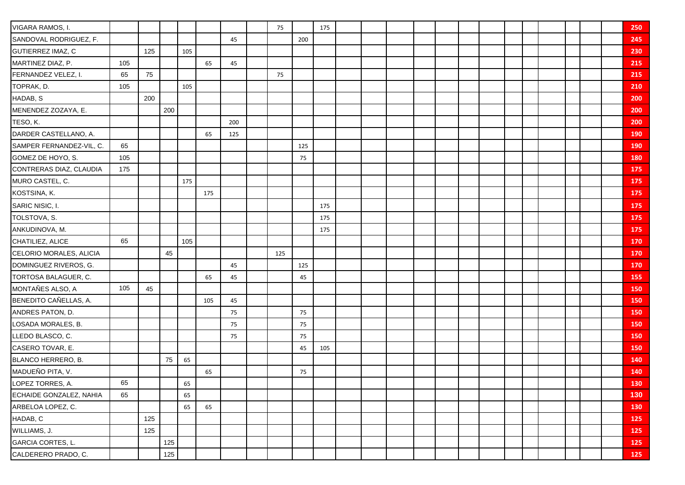| VIGARA RAMOS, I.         |     |     |     |     |     |     | 75  |     | 175 |  |  |  |  |  |  | 250        |
|--------------------------|-----|-----|-----|-----|-----|-----|-----|-----|-----|--|--|--|--|--|--|------------|
| SANDOVAL RODRIGUEZ, F.   |     |     |     |     |     | 45  |     | 200 |     |  |  |  |  |  |  | 245        |
| GUTIERREZ IMAZ, C        |     | 125 |     | 105 |     |     |     |     |     |  |  |  |  |  |  | 230        |
| MARTINEZ DIAZ, P.        | 105 |     |     |     | 65  | 45  |     |     |     |  |  |  |  |  |  | 215        |
| FERNANDEZ VELEZ, I.      | 65  | 75  |     |     |     |     | 75  |     |     |  |  |  |  |  |  | 215        |
| TOPRAK, D.               | 105 |     |     | 105 |     |     |     |     |     |  |  |  |  |  |  | 210        |
| HADAB, S                 |     | 200 |     |     |     |     |     |     |     |  |  |  |  |  |  | 200        |
| MENENDEZ ZOZAYA, E.      |     |     | 200 |     |     |     |     |     |     |  |  |  |  |  |  | 200        |
| TESO, K.                 |     |     |     |     |     | 200 |     |     |     |  |  |  |  |  |  | 200        |
| DARDER CASTELLANO, A.    |     |     |     |     | 65  | 125 |     |     |     |  |  |  |  |  |  | <b>190</b> |
| SAMPER FERNANDEZ-VIL, C. | 65  |     |     |     |     |     |     | 125 |     |  |  |  |  |  |  | 190        |
| GOMEZ DE HOYO, S.        | 105 |     |     |     |     |     |     | 75  |     |  |  |  |  |  |  | 180        |
| CONTRERAS DIAZ, CLAUDIA  | 175 |     |     |     |     |     |     |     |     |  |  |  |  |  |  | 175        |
| MURO CASTEL, C.          |     |     |     | 175 |     |     |     |     |     |  |  |  |  |  |  | 175        |
| KOSTSINA, K.             |     |     |     |     | 175 |     |     |     |     |  |  |  |  |  |  | 175        |
| SARIC NISIC, I.          |     |     |     |     |     |     |     |     | 175 |  |  |  |  |  |  | 175        |
| TOLSTOVA, S.             |     |     |     |     |     |     |     |     | 175 |  |  |  |  |  |  | 175        |
| ANKUDINOVA, M.           |     |     |     |     |     |     |     |     | 175 |  |  |  |  |  |  | 175        |
| CHATILIEZ, ALICE         | 65  |     |     | 105 |     |     |     |     |     |  |  |  |  |  |  | 170        |
| CELORIO MORALES, ALICIA  |     |     | 45  |     |     |     | 125 |     |     |  |  |  |  |  |  | 170        |
| DOMINGUEZ RIVEROS, G.    |     |     |     |     |     | 45  |     | 125 |     |  |  |  |  |  |  | 170        |
| TORTOSA BALAGUER, C.     |     |     |     |     | 65  | 45  |     | 45  |     |  |  |  |  |  |  | 155        |
| MONTAÑES ALSO, A         | 105 | 45  |     |     |     |     |     |     |     |  |  |  |  |  |  | 150        |
| BENEDITO CAÑELLAS, A.    |     |     |     |     | 105 | 45  |     |     |     |  |  |  |  |  |  | 150        |
| ANDRES PATON, D.         |     |     |     |     |     | 75  |     | 75  |     |  |  |  |  |  |  | 150        |
| LOSADA MORALES, B.       |     |     |     |     |     | 75  |     | 75  |     |  |  |  |  |  |  | 150        |
| LLEDO BLASCO, C.         |     |     |     |     |     | 75  |     | 75  |     |  |  |  |  |  |  | 150        |
| CASERO TOVAR, E.         |     |     |     |     |     |     |     | 45  | 105 |  |  |  |  |  |  | 150        |
| BLANCO HERRERO, B.       |     |     | 75  | 65  |     |     |     |     |     |  |  |  |  |  |  | 140        |
| MADUEÑO PITA, V.         |     |     |     |     | 65  |     |     | 75  |     |  |  |  |  |  |  | 140        |
| LOPEZ TORRES, A.         | 65  |     |     | 65  |     |     |     |     |     |  |  |  |  |  |  | 130        |
| ECHAIDE GONZALEZ, NAHIA  | 65  |     |     | 65  |     |     |     |     |     |  |  |  |  |  |  | 130        |
| ARBELOA LOPEZ, C.        |     |     |     | 65  | 65  |     |     |     |     |  |  |  |  |  |  | 130        |
| HADAB, C                 |     | 125 |     |     |     |     |     |     |     |  |  |  |  |  |  | <b>125</b> |
| WILLIAMS, J.             |     | 125 |     |     |     |     |     |     |     |  |  |  |  |  |  | 125        |
| GARCIA CORTES, L.        |     |     | 125 |     |     |     |     |     |     |  |  |  |  |  |  | 125        |
| CALDERERO PRADO, C.      |     |     | 125 |     |     |     |     |     |     |  |  |  |  |  |  | 125        |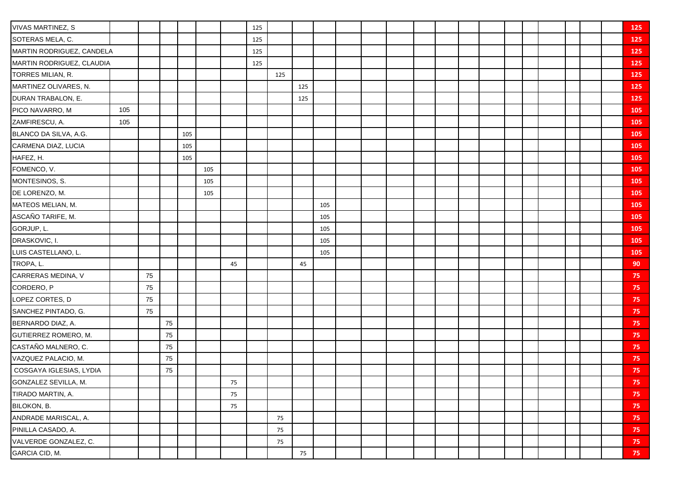| VIVAS MARTINEZ, S         |     |    |    |     |     |    | 125 |     |     |     |  |  |  |  |  |  | 125    |
|---------------------------|-----|----|----|-----|-----|----|-----|-----|-----|-----|--|--|--|--|--|--|--------|
| SOTERAS MELA, C.          |     |    |    |     |     |    | 125 |     |     |     |  |  |  |  |  |  | 125    |
| MARTIN RODRIGUEZ, CANDELA |     |    |    |     |     |    | 125 |     |     |     |  |  |  |  |  |  | 125    |
| MARTIN RODRIGUEZ, CLAUDIA |     |    |    |     |     |    | 125 |     |     |     |  |  |  |  |  |  | 125    |
| TORRES MILIAN, R.         |     |    |    |     |     |    |     | 125 |     |     |  |  |  |  |  |  | 125    |
| MARTINEZ OLIVARES, N.     |     |    |    |     |     |    |     |     | 125 |     |  |  |  |  |  |  | 125    |
| DURAN TRABALON, E.        |     |    |    |     |     |    |     |     | 125 |     |  |  |  |  |  |  | 125    |
| PICO NAVARRO, M           | 105 |    |    |     |     |    |     |     |     |     |  |  |  |  |  |  | 105    |
| ZAMFIRESCU, A.            | 105 |    |    |     |     |    |     |     |     |     |  |  |  |  |  |  | 105    |
| BLANCO DA SILVA, A.G.     |     |    |    | 105 |     |    |     |     |     |     |  |  |  |  |  |  | 105    |
| CARMENA DIAZ, LUCIA       |     |    |    | 105 |     |    |     |     |     |     |  |  |  |  |  |  | 105    |
| HAFEZ, H.                 |     |    |    | 105 |     |    |     |     |     |     |  |  |  |  |  |  | 105    |
| FOMENCO, V.               |     |    |    |     | 105 |    |     |     |     |     |  |  |  |  |  |  | 105    |
| MONTESINOS, S.            |     |    |    |     | 105 |    |     |     |     |     |  |  |  |  |  |  | 105    |
| DE LORENZO, M.            |     |    |    |     | 105 |    |     |     |     |     |  |  |  |  |  |  | 105    |
| MATEOS MELIAN, M.         |     |    |    |     |     |    |     |     |     | 105 |  |  |  |  |  |  | 105    |
| ASCAÑO TARIFE, M.         |     |    |    |     |     |    |     |     |     | 105 |  |  |  |  |  |  | 105    |
| GORJUP, L.                |     |    |    |     |     |    |     |     |     | 105 |  |  |  |  |  |  | 105    |
| DRASKOVIC, I.             |     |    |    |     |     |    |     |     |     | 105 |  |  |  |  |  |  | 105    |
| LUIS CASTELLANO, L.       |     |    |    |     |     |    |     |     |     | 105 |  |  |  |  |  |  | 105    |
| TROPA, L.                 |     |    |    |     |     | 45 |     |     | 45  |     |  |  |  |  |  |  | 90     |
| CARRERAS MEDINA, V        |     | 75 |    |     |     |    |     |     |     |     |  |  |  |  |  |  | 75     |
| CORDERO, P                |     | 75 |    |     |     |    |     |     |     |     |  |  |  |  |  |  | 75     |
| LOPEZ CORTES, D           |     | 75 |    |     |     |    |     |     |     |     |  |  |  |  |  |  | 75     |
| SANCHEZ PINTADO, G.       |     | 75 |    |     |     |    |     |     |     |     |  |  |  |  |  |  | 75     |
| BERNARDO DIAZ, A.         |     |    | 75 |     |     |    |     |     |     |     |  |  |  |  |  |  | 75     |
| GUTIERREZ ROMERO, M.      |     |    | 75 |     |     |    |     |     |     |     |  |  |  |  |  |  | 75     |
| CASTAÑO MALNERO, C.       |     |    | 75 |     |     |    |     |     |     |     |  |  |  |  |  |  | 75     |
| VAZQUEZ PALACIO, M.       |     |    | 75 |     |     |    |     |     |     |     |  |  |  |  |  |  | 75     |
| COSGAYA IGLESIAS, LYDIA   |     |    | 75 |     |     |    |     |     |     |     |  |  |  |  |  |  | 75     |
| GONZALEZ SEVILLA, M.      |     |    |    |     |     | 75 |     |     |     |     |  |  |  |  |  |  | 75     |
| TIRADO MARTIN, A.         |     |    |    |     |     | 75 |     |     |     |     |  |  |  |  |  |  | 75     |
| BILOKON, B.               |     |    |    |     |     | 75 |     |     |     |     |  |  |  |  |  |  | 75     |
| ANDRADE MARISCAL, A.      |     |    |    |     |     |    |     | 75  |     |     |  |  |  |  |  |  | 75     |
| PINILLA CASADO, A.        |     |    |    |     |     |    |     | 75  |     |     |  |  |  |  |  |  | 75     |
| VALVERDE GONZALEZ, C.     |     |    |    |     |     |    |     | 75  |     |     |  |  |  |  |  |  | 75     |
| GARCIA CID, M.            |     |    |    |     |     |    |     |     | 75  |     |  |  |  |  |  |  | $75 -$ |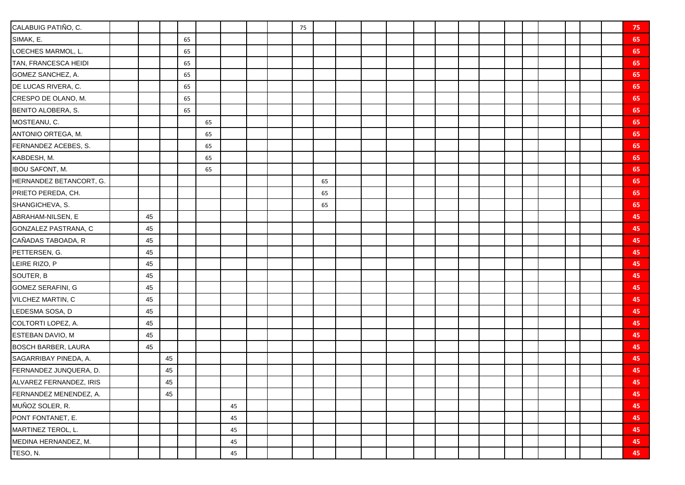| CALABUIG PATIÑO, C.        |    |    |    |    |    |  | 75 |    |  |  |  |  |  |  | 75 |
|----------------------------|----|----|----|----|----|--|----|----|--|--|--|--|--|--|----|
| SIMAK, E.                  |    |    | 65 |    |    |  |    |    |  |  |  |  |  |  | 65 |
| LOECHES MARMOL, L.         |    |    | 65 |    |    |  |    |    |  |  |  |  |  |  | 65 |
| TAN, FRANCESCA HEIDI       |    |    | 65 |    |    |  |    |    |  |  |  |  |  |  | 65 |
| GOMEZ SANCHEZ, A.          |    |    | 65 |    |    |  |    |    |  |  |  |  |  |  | 65 |
| DE LUCAS RIVERA, C.        |    |    | 65 |    |    |  |    |    |  |  |  |  |  |  | 65 |
| CRESPO DE OLANO, M.        |    |    | 65 |    |    |  |    |    |  |  |  |  |  |  | 65 |
| <b>BENITO ALOBERA, S.</b>  |    |    | 65 |    |    |  |    |    |  |  |  |  |  |  | 65 |
| MOSTEANU, C.               |    |    |    | 65 |    |  |    |    |  |  |  |  |  |  | 65 |
| ANTONIO ORTEGA, M.         |    |    |    | 65 |    |  |    |    |  |  |  |  |  |  | 65 |
| FERNANDEZ ACEBES, S.       |    |    |    | 65 |    |  |    |    |  |  |  |  |  |  | 65 |
| KABDESH, M.                |    |    |    | 65 |    |  |    |    |  |  |  |  |  |  | 65 |
| <b>IBOU SAFONT, M.</b>     |    |    |    | 65 |    |  |    |    |  |  |  |  |  |  | 65 |
| HERNANDEZ BETANCORT, G.    |    |    |    |    |    |  |    | 65 |  |  |  |  |  |  | 65 |
| PRIETO PEREDA, CH.         |    |    |    |    |    |  |    | 65 |  |  |  |  |  |  | 65 |
| SHANGICHEVA, S.            |    |    |    |    |    |  |    | 65 |  |  |  |  |  |  | 65 |
| ABRAHAM-NILSEN, E          | 45 |    |    |    |    |  |    |    |  |  |  |  |  |  | 45 |
| GONZALEZ PASTRANA, C       | 45 |    |    |    |    |  |    |    |  |  |  |  |  |  | 45 |
| CAÑADAS TABOADA, R         | 45 |    |    |    |    |  |    |    |  |  |  |  |  |  | 45 |
| PETTERSEN, G.              | 45 |    |    |    |    |  |    |    |  |  |  |  |  |  | 45 |
| LEIRE RIZO, P              | 45 |    |    |    |    |  |    |    |  |  |  |  |  |  | 45 |
| SOUTER, B                  | 45 |    |    |    |    |  |    |    |  |  |  |  |  |  | 45 |
| GOMEZ SERAFINI, G          | 45 |    |    |    |    |  |    |    |  |  |  |  |  |  | 45 |
| VILCHEZ MARTIN, C          | 45 |    |    |    |    |  |    |    |  |  |  |  |  |  | 45 |
| LEDESMA SOSA, D            | 45 |    |    |    |    |  |    |    |  |  |  |  |  |  | 45 |
| COLTORTI LOPEZ, A.         | 45 |    |    |    |    |  |    |    |  |  |  |  |  |  | 45 |
| ESTEBAN DAVIO, M           | 45 |    |    |    |    |  |    |    |  |  |  |  |  |  | 45 |
| <b>BOSCH BARBER, LAURA</b> | 45 |    |    |    |    |  |    |    |  |  |  |  |  |  | 45 |
| SAGARRIBAY PINEDA, A.      |    | 45 |    |    |    |  |    |    |  |  |  |  |  |  | 45 |
| FERNANDEZ JUNQUERA, D.     |    | 45 |    |    |    |  |    |    |  |  |  |  |  |  | 45 |
| ALVAREZ FERNANDEZ, IRIS    |    | 45 |    |    |    |  |    |    |  |  |  |  |  |  | 45 |
| FERNANDEZ MENENDEZ, A.     |    | 45 |    |    |    |  |    |    |  |  |  |  |  |  | 45 |
| MUÑOZ SOLER, R.            |    |    |    |    | 45 |  |    |    |  |  |  |  |  |  | 45 |
| PONT FONTANET, E.          |    |    |    |    | 45 |  |    |    |  |  |  |  |  |  | 45 |
| MARTINEZ TEROL, L.         |    |    |    |    | 45 |  |    |    |  |  |  |  |  |  | 45 |
| MEDINA HERNANDEZ, M.       |    |    |    |    | 45 |  |    |    |  |  |  |  |  |  | 45 |
| TESO, N.                   |    |    |    |    | 45 |  |    |    |  |  |  |  |  |  | 45 |